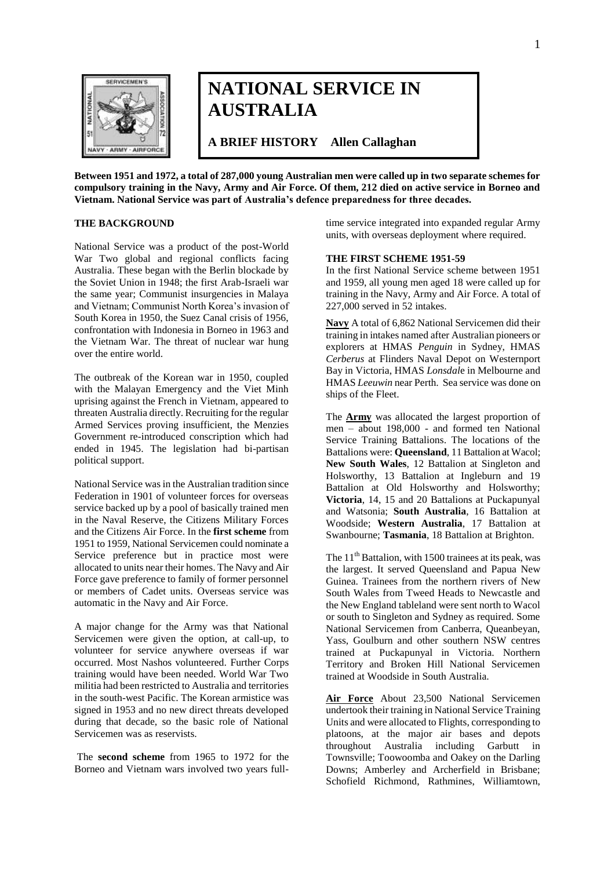

# **NATIONAL SERVICE IN AUSTRALIA**

**A BRIEF HISTORY Allen Callaghan** 

**Between 1951 and 1972, a total of 287,000 young Australian men were called up in two separate schemes for compulsory training in the Navy, Army and Air Force. Of them, 212 died on active service in Borneo and Vietnam. National Service was part of Australia's defence preparedness for three decades.**

### **THE BACKGROUND**

National Service was a product of the post-World War Two global and regional conflicts facing Australia. These began with the Berlin blockade by the Soviet Union in 1948; the first Arab-Israeli war the same year; Communist insurgencies in Malaya and Vietnam; Communist North Korea"s invasion of South Korea in 1950, the Suez Canal crisis of 1956, confrontation with Indonesia in Borneo in 1963 and the Vietnam War. The threat of nuclear war hung over the entire world.

The outbreak of the Korean war in 1950, coupled with the Malayan Emergency and the Viet Minh uprising against the French in Vietnam, appeared to threaten Australia directly. Recruiting for the regular Armed Services proving insufficient, the Menzies Government re-introduced conscription which had ended in 1945. The legislation had bi-partisan political support.

National Service was in the Australian tradition since Federation in 1901 of volunteer forces for overseas service backed up by a pool of basically trained men in the Naval Reserve, the Citizens Military Forces and the Citizens Air Force. In the **first scheme** from 1951 to 1959, National Servicemen could nominate a Service preference but in practice most were allocated to units near their homes. The Navy and Air Force gave preference to family of former personnel or members of Cadet units. Overseas service was automatic in the Navy and Air Force.

A major change for the Army was that National Servicemen were given the option, at call-up, to volunteer for service anywhere overseas if war occurred. Most Nashos volunteered. Further Corps training would have been needed. World War Two militia had been restricted to Australia and territories in the south-west Pacific. The Korean armistice was signed in 1953 and no new direct threats developed during that decade, so the basic role of National Servicemen was as reservists.

The **second scheme** from 1965 to 1972 for the Borneo and Vietnam wars involved two years fulltime service integrated into expanded regular Army units, with overseas deployment where required.

### **THE FIRST SCHEME 1951-59**

In the first National Service scheme between 1951 and 1959, all young men aged 18 were called up for training in the Navy, Army and Air Force. A total of 227,000 served in 52 intakes.

**Navy** A total of 6,862 National Servicemen did their training in intakes named after Australian pioneers or explorers at HMAS *Penguin* in Sydney, HMAS *Cerberus* at Flinders Naval Depot on Westernport Bay in Victoria, HMAS *Lonsdal*e in Melbourne and HMAS *Leeuwin* near Perth. Sea service was done on ships of the Fleet.

The **Army** was allocated the largest proportion of men – about 198,000 - and formed ten National Service Training Battalions. The locations of the Battalions were: **Queensland**, 11 Battalion at Wacol; **New South Wales**, 12 Battalion at Singleton and Holsworthy, 13 Battalion at Ingleburn and 19 Battalion at Old Holsworthy and Holsworthy; **Victoria**, 14, 15 and 20 Battalions at Puckapunyal and Watsonia; **South Australia**, 16 Battalion at Woodside; **Western Australia**, 17 Battalion at Swanbourne; **Tasmania**, 18 Battalion at Brighton.

The  $11<sup>th</sup>$  Battalion, with 1500 trainees at its peak, was the largest. It served Queensland and Papua New Guinea. Trainees from the northern rivers of New South Wales from Tweed Heads to Newcastle and the New England tableland were sent north to Wacol or south to Singleton and Sydney as required. Some National Servicemen from Canberra, Queanbeyan, Yass, Goulburn and other southern NSW centres trained at Puckapunyal in Victoria. Northern Territory and Broken Hill National Servicemen trained at Woodside in South Australia.

**Air Force** About 23,500 National Servicemen undertook their training in National Service Training Units and were allocated to Flights, corresponding to platoons, at the major air bases and depots throughout Australia including Garbutt in Townsville; Toowoomba and Oakey on the Darling Downs; Amberley and Archerfield in Brisbane; Schofield Richmond, Rathmines, Williamtown,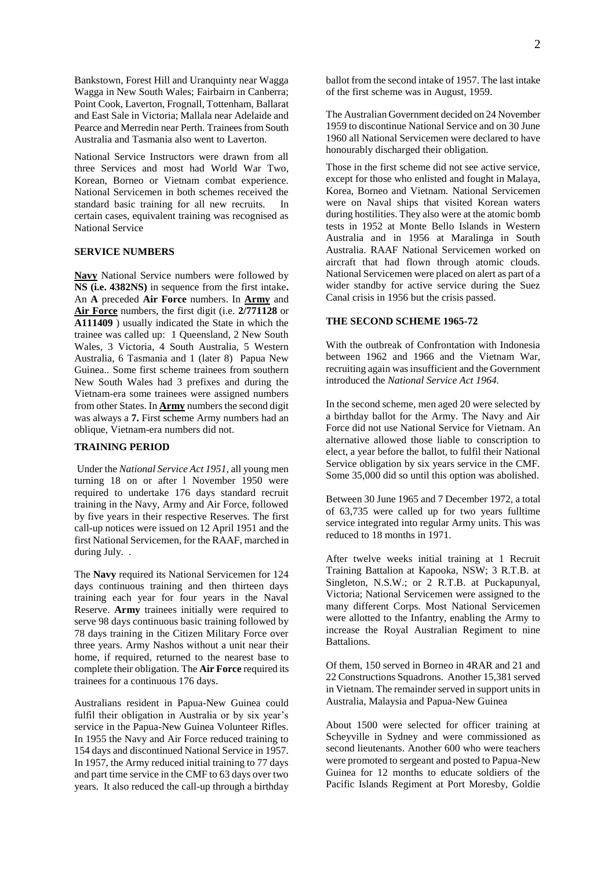Bankstown, Forest Hill and Uranquinty near Wagga Wagga in New South Wales; Fairbairn in Canberra; Point Cook, Laverton, Frognall, Tottenham, Ballarat and East Sale in Victoria; Mallala near Adelaide and Pearce and Merredin near Perth. Trainees from South Australia and Tasmania also went to Laverton.

National Service Instructors were drawn from all three Services and most had World War Two, Korean, Borneo or Vietnam combat experience. National Servicemen in both schemes received the standard basic training for all new recruits. In certain cases, equivalent training was recognised as National Service

### **SERVICE NUMBERS**

**Navy** National Service numbers were followed by **NS (i.e. 4382NS)** in sequence from the first intake**.**  An **A** preceded **Air Force** numbers. In **Army** and **Air Force** numbers, the first digit (i.e. **2/771128** or **A111409** ) usually indicated the State in which the trainee was called up: 1 Queensland, 2 New South Wales, 3 Victoria, 4 South Australia, 5 Western Australia, 6 Tasmania and 1 (later 8) Papua New Guinea.. Some first scheme trainees from southern New South Wales had 3 prefixes and during the Vietnam-era some trainees were assigned numbers from other States. In **Army** numbers the second digit was always a **7.** First scheme Army numbers had an oblique, Vietnam-era numbers did not.

## **TRAINING PERIOD**

Under the *National Service Act 1951*, all young men turning 18 on or after l November 1950 were required to undertake 176 days standard recruit training in the Navy, Army and Air Force, followed by five years in their respective Reserves. The first call-up notices were issued on 12 April 1951 and the first National Servicemen, for the RAAF, marched in during July. .

The **Navy** required its National Servicemen for 124 days continuous training and then thirteen days training each year for four years in the Naval Reserve. **Army** trainees initially were required to serve 98 days continuous basic training followed by 78 days training in the Citizen Military Force over three years. Army Nashos without a unit near their home, if required, returned to the nearest base to complete their obligation. The **Air Force** required its trainees for a continuous 176 days.

Australians resident in Papua-New Guinea could fulfil their obligation in Australia or by six year's service in the Papua-New Guinea Volunteer Rifles. In 1955 the Navy and Air Force reduced training to 154 days and discontinued National Service in 1957. In 1957, the Army reduced initial training to 77 days and part time service in the CMF to 63 days over two years. It also reduced the call-up through a birthday ballot from the second intake of 1957. The last intake of the first scheme was in August, 1959.

The Australian Government decided on 24 November 1959 to discontinue National Service and on 30 June 1960 all National Servicemen were declared to have honourably discharged their obligation.

Those in the first scheme did not see active service, except for those who enlisted and fought in Malaya, Korea, Borneo and Vietnam. National Servicemen were on Naval ships that visited Korean waters during hostilities. They also were at the atomic bomb tests in 1952 at Monte Bello Islands in Western Australia and in 1956 at Maralinga in South Australia. RAAF National Servicemen worked on aircraft that had flown through atomic clouds. National Servicemen were placed on alert as part of a wider standby for active service during the Suez Canal crisis in 1956 but the crisis passed.

#### **THE SECOND SCHEME 1965-72**

With the outbreak of Confrontation with Indonesia between 1962 and 1966 and the Vietnam War, recruiting again was insufficient and the Government introduced the *National Service Act 1964.*

In the second scheme, men aged 20 were selected by a birthday ballot for the Army. The Navy and Air Force did not use National Service for Vietnam. An alternative allowed those liable to conscription to elect, a year before the ballot, to fulfil their National Service obligation by six years service in the CMF. Some 35,000 did so until this option was abolished.

Between 30 June 1965 and 7 December 1972, a total of 63,735 were called up for two years fulltime service integrated into regular Army units. This was reduced to 18 months in 1971.

After twelve weeks initial training at 1 Recruit Training Battalion at Kapooka, NSW; 3 R.T.B. at Singleton, N.S.W.; or 2 R.T.B. at Puckapunyal, Victoria; National Servicemen were assigned to the many different Corps. Most National Servicemen were allotted to the Infantry, enabling the Army to increase the Royal Australian Regiment to nine Battalions.

Of them, 150 served in Borneo in 4RAR and 21 and 22 Constructions Squadrons. Another 15,381 served in Vietnam. The remainder served in support units in Australia, Malaysia and Papua-New Guinea

About 1500 were selected for officer training at Scheyville in Sydney and were commissioned as second lieutenants. Another 600 who were teachers were promoted to sergeant and posted to Papua-New Guinea for 12 months to educate soldiers of the Pacific Islands Regiment at Port Moresby, Goldie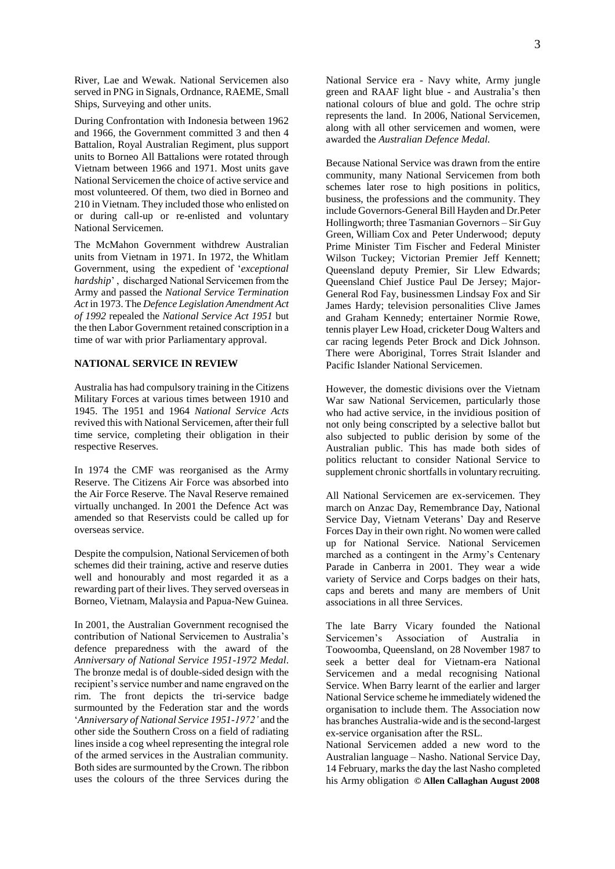River, Lae and Wewak. National Servicemen also served in PNG in Signals, Ordnance, RAEME, Small Ships, Surveying and other units.

During Confrontation with Indonesia between 1962 and 1966, the Government committed 3 and then 4 Battalion, Royal Australian Regiment, plus support units to Borneo All Battalions were rotated through Vietnam between 1966 and 1971. Most units gave National Servicemen the choice of active service and most volunteered. Of them, two died in Borneo and 210 in Vietnam. They included those who enlisted on or during call-up or re-enlisted and voluntary National Servicemen.

The McMahon Government withdrew Australian units from Vietnam in 1971. In 1972, the Whitlam Government, using the expedient of "*exceptional hardship*" , discharged National Servicemen from the Army and passed the *National Service Termination Act* in 1973. The *Defence Legislation Amendment Act of 1992* repealed the *National Service Act 1951* but the then Labor Government retained conscription in a time of war with prior Parliamentary approval.

### **NATIONAL SERVICE IN REVIEW**

Australia has had compulsory training in the Citizens Military Forces at various times between 1910 and 1945. The 1951 and 1964 *National Service Acts* revived this with National Servicemen, after their full time service, completing their obligation in their respective Reserves.

In 1974 the CMF was reorganised as the Army Reserve. The Citizens Air Force was absorbed into the Air Force Reserve. The Naval Reserve remained virtually unchanged. In 2001 the Defence Act was amended so that Reservists could be called up for overseas service.

Despite the compulsion, National Servicemen of both schemes did their training, active and reserve duties well and honourably and most regarded it as a rewarding part of their lives. They served overseas in Borneo, Vietnam, Malaysia and Papua-New Guinea.

In 2001, the Australian Government recognised the contribution of National Servicemen to Australia"s defence preparedness with the award of the *Anniversary of National Service 1951-1972 Medal*. The bronze medal is of double-sided design with the recipient"s service number and name engraved on the rim. The front depicts the tri-service badge surmounted by the Federation star and the words "*Anniversary of National Service 1951-1972'* and the other side the Southern Cross on a field of radiating lines inside a cog wheel representing the integral role of the armed services in the Australian community. Both sides are surmounted by the Crown. The ribbon uses the colours of the three Services during the

National Service era - Navy white, Army jungle green and RAAF light blue - and Australia"s then national colours of blue and gold. The ochre strip represents the land. In 2006, National Servicemen, along with all other servicemen and women, were awarded the *Australian Defence Medal.*

Because National Service was drawn from the entire community, many National Servicemen from both schemes later rose to high positions in politics, business, the professions and the community. They include Governors-General Bill Hayden and Dr.Peter Hollingworth; three Tasmanian Governors – Sir Guy Green, William Cox and Peter Underwood; deputy Prime Minister Tim Fischer and Federal Minister Wilson Tuckey; Victorian Premier Jeff Kennett; Queensland deputy Premier, Sir Llew Edwards; Queensland Chief Justice Paul De Jersey; Major-General Rod Fay, businessmen Lindsay Fox and Sir James Hardy; television personalities Clive James and Graham Kennedy; entertainer Normie Rowe, tennis player Lew Hoad, cricketer Doug Walters and car racing legends Peter Brock and Dick Johnson. There were Aboriginal, Torres Strait Islander and Pacific Islander National Servicemen.

However, the domestic divisions over the Vietnam War saw National Servicemen, particularly those who had active service, in the invidious position of not only being conscripted by a selective ballot but also subjected to public derision by some of the Australian public. This has made both sides of politics reluctant to consider National Service to supplement chronic shortfalls in voluntary recruiting.

All National Servicemen are ex-servicemen. They march on Anzac Day, Remembrance Day, National Service Day, Vietnam Veterans" Day and Reserve Forces Day in their own right. No women were called up for National Service. National Servicemen marched as a contingent in the Army"s Centenary Parade in Canberra in 2001. They wear a wide variety of Service and Corps badges on their hats, caps and berets and many are members of Unit associations in all three Services.

The late Barry Vicary founded the National Servicemen"s Association of Australia in Toowoomba, Queensland, on 28 November 1987 to seek a better deal for Vietnam-era National Servicemen and a medal recognising National Service. When Barry learnt of the earlier and larger National Service scheme he immediately widened the organisation to include them. The Association now has branches Australia-wide and is the second-largest ex-service organisation after the RSL.

National Servicemen added a new word to the Australian language – Nasho. National Service Day, 14 February, marks the day the last Nasho completed his Army obligation **© Allen Callaghan August 2008**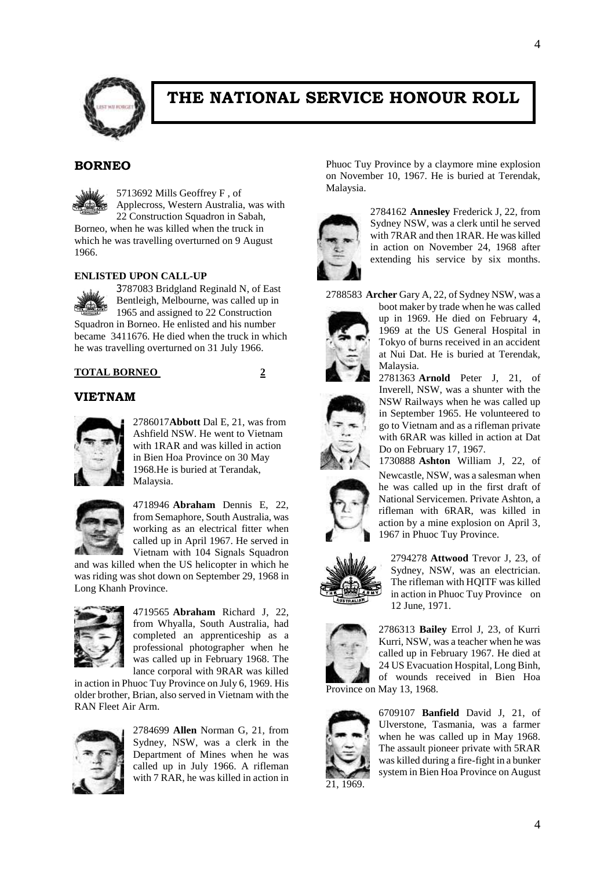

# **THE NATIONAL SERVICE HONOUR ROLL**

# **BORNEO**

5713692 Mills Geoffrey F , of Applecross, Western Australia, was with

22 Construction Squadron in Sabah, Borneo, when he was killed when the truck in which he was travelling overturned on 9 August 1966.

### **ENLISTED UPON CALL-UP**



3787083 Bridgland Reginald N, of East Bentleigh, Melbourne, was called up in 1965 and assigned to 22 Construction Squadron in Borneo. He enlisted and his number became 3411676. He died when the truck in which he was travelling overturned on 31 July 1966.

## **TOTAL BORNEO 2**



## **VIETNAM**



2786017**Abbott** Dal E, 21, was from Ashfield NSW. He went to Vietnam with 1RAR and was killed in action in Bien Hoa Province on 30 May 1968.He is buried at Terandak, Malaysia.



4718946 **Abraham** Dennis E, 22, from Semaphore, South Australia, was working as an electrical fitter when called up in April 1967. He served in Vietnam with 104 Signals Squadron

and was killed when the US helicopter in which he was riding was shot down on September 29, 1968 in Long Khanh Province.



4719565 **Abraham** Richard J, 22, from Whyalla, South Australia, had completed an apprenticeship as a professional photographer when he was called up in February 1968. The lance corporal with 9RAR was killed

in action in Phuoc Tuy Province on July 6, 1969. His older brother, Brian, also served in Vietnam with the RAN Fleet Air Arm.



2784699 **Allen** Norman G, 21, from Sydney, NSW, was a clerk in the Department of Mines when he was called up in July 1966. A rifleman with 7 RAR, he was killed in action in

Phuoc Tuy Province by a claymore mine explosion on November 10, 1967. He is buried at Terendak, Malaysia.



2784162 **Annesley** Frederick J, 22, from Sydney NSW, was a clerk until he served with 7RAR and then 1RAR. He was killed in action on November 24, 1968 after extending his service by six months.

2788583 **Archer** Gary A, 22, of Sydney NSW, was a



boot maker by trade when he was called up in 1969. He died on February 4, 1969 at the US General Hospital in Tokyo of burns received in an accident at Nui Dat. He is buried at Terendak, Malaysia. 2781363 **Arnold** Peter J, 21, of

Inverell, NSW, was a shunter with the NSW Railways when he was called up



in September 1965. He volunteered to go to Vietnam and as a rifleman private with 6RAR was killed in action at Dat Do on February 17, 1967. 1730888 **Ashton** William J, 22, of Newcastle, NSW, was a salesman when he was called up in the first draft of

National Servicemen. Private Ashton, a rifleman with 6RAR, was killed in action by a mine explosion on April 3, 1967 in Phuoc Tuy Province.



2794278 **Attwood** Trevor J, 23, of Sydney, NSW, was an electrician. The rifleman with HQITF was killed in action in Phuoc Tuy Province on 12 June, 1971.



2786313 **Bailey** Errol J, 23, of Kurri Kurri, NSW, was a teacher when he was called up in February 1967. He died at 24 US Evacuation Hospital, Long Binh, of wounds received in Bien Hoa Province on May 13, 1968.



6709107 **Banfield** David J, 21, of Ulverstone, Tasmania, was a farmer when he was called up in May 1968. The assault pioneer private with 5RAR was killed during a fire-fight in a bunker system in Bien Hoa Province on August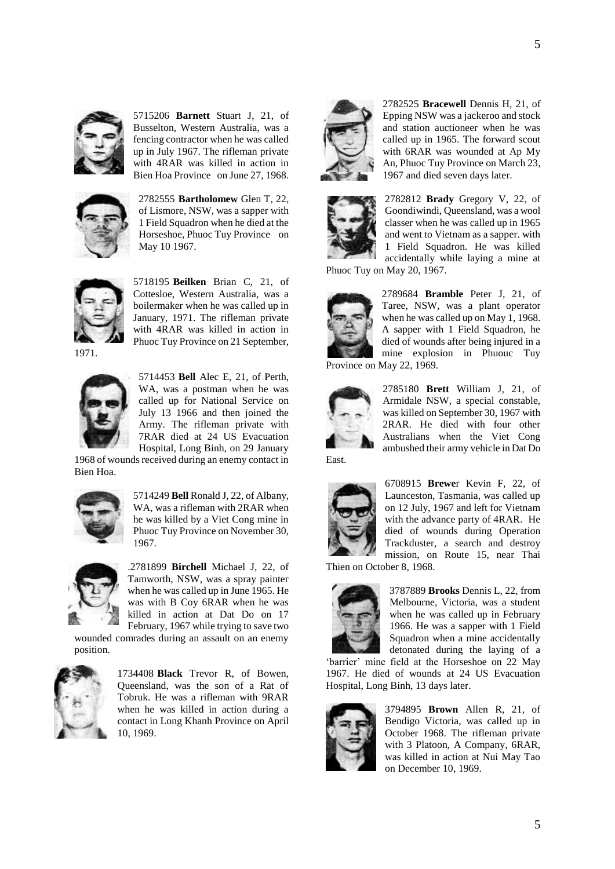

5715206 **Barnett** Stuart J, 21, of Busselton, Western Australia, was a fencing contractor when he was called up in July 1967. The rifleman private with 4RAR was killed in action in Bien Hoa Province on June 27, 1968.



2782555 **Bartholomew** Glen T, 22, of Lismore, NSW, was a sapper with 1 Field Squadron when he died at the Horseshoe, Phuoc Tuy Province on May 10 1967.



5718195 **Beilken** Brian C, 21, of Cottesloe, Western Australia, was a boilermaker when he was called up in January, 1971. The rifleman private with 4RAR was killed in action in Phuoc Tuy Province on 21 September,

1971.



5714453 **Bell** Alec E, 21, of Perth, WA, was a postman when he was called up for National Service on July 13 1966 and then joined the Army. The rifleman private with 7RAR died at 24 US Evacuation Hospital, Long Binh, on 29 January

1968 of wounds received during an enemy contact in Bien Hoa.



5714249 **Bell** Ronald J, 22, of Albany, WA, was a rifleman with 2RAR when he was killed by a Viet Cong mine in Phuoc Tuy Province on November 30, 1967.



.2781899 **Birchell** Michael J, 22, of Tamworth, NSW, was a spray painter when he was called up in June 1965. He was with B Coy 6RAR when he was killed in action at Dat Do on 17 February, 1967 while trying to save two

wounded comrades during an assault on an enemy position.



1734408 **Black** Trevor R, of Bowen, Queensland, was the son of a Rat of Tobruk. He was a rifleman with 9RAR when he was killed in action during a contact in Long Khanh Province on April 10, 1969.



2782525 **Bracewell** Dennis H, 21, of Epping NSW was a jackeroo and stock and station auctioneer when he was called up in 1965. The forward scout with 6RAR was wounded at Ap My An, Phuoc Tuy Province on March 23, 1967 and died seven days later.



2782812 **Brady** Gregory V, 22, of Goondiwindi, Queensland, was a wool classer when he was called up in 1965 and went to Vietnam as a sapper. with 1 Field Squadron. He was killed accidentally while laying a mine at

Phuoc Tuy on May 20, 1967.



2789684 **Bramble** Peter J, 21, of Taree, NSW, was a plant operator when he was called up on May 1, 1968. A sapper with 1 Field Squadron, he died of wounds after being injured in a mine explosion in Phuouc Tuy Province on May 22, 1969.



2785180 **Brett** William J, 21, of Armidale NSW, a special constable, was killed on September 30, 1967 with 2RAR. He died with four other Australians when the Viet Cong ambushed their army vehicle in Dat Do

East.



6708915 **Brewe**r Kevin F, 22, of Launceston, Tasmania, was called up on 12 July, 1967 and left for Vietnam with the advance party of 4RAR. He died of wounds during Operation Trackduster, a search and destroy mission, on Route 15, near Thai

Thien on October 8, 1968.



3787889 **Brooks** Dennis L, 22, from Melbourne, Victoria, was a student when he was called up in February 1966. He was a sapper with 1 Field Squadron when a mine accidentally detonated during the laying of a

'barrier' mine field at the Horseshoe on 22 May 1967. He died of wounds at 24 US Evacuation Hospital, Long Binh, 13 days later.



3794895 **Brown** Allen R, 21, of Bendigo Victoria, was called up in October 1968. The rifleman private with 3 Platoon, A Company, 6RAR, was killed in action at Nui May Tao on December 10, 1969.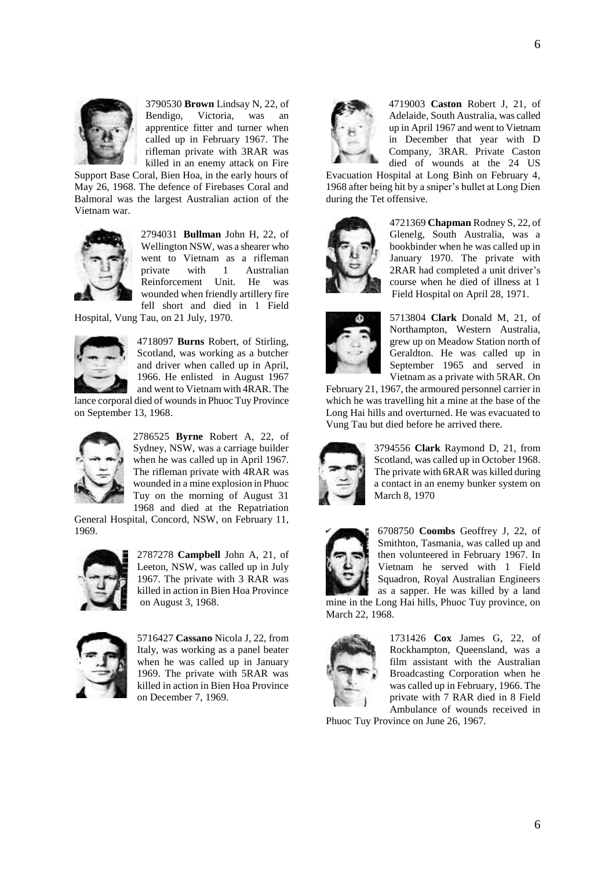

3790530 **Brown** Lindsay N, 22, of Bendigo, Victoria, was an apprentice fitter and turner when called up in February 1967. The rifleman private with 3RAR was killed in an enemy attack on Fire

Support Base Coral, Bien Hoa, in the early hours of May 26, 1968. The defence of Firebases Coral and Balmoral was the largest Australian action of the Vietnam war.



2794031 **Bullman** John H, 22, of Wellington NSW, was a shearer who went to Vietnam as a rifleman private with 1 Australian Reinforcement Unit. He was wounded when friendly artillery fire fell short and died in 1 Field

Hospital, Vung Tau, on 21 July, 1970.



4718097 **Burns** Robert, of Stirling, Scotland, was working as a butcher and driver when called up in April, 1966. He enlisted in August 1967 and went to Vietnam with 4RAR. The

lance corporal died of wounds in Phuoc Tuy Province on September 13, 1968.



2786525 **Byrne** Robert A, 22, of Sydney, NSW, was a carriage builder when he was called up in April 1967. The rifleman private with 4RAR was wounded in a mine explosion in Phuoc Tuy on the morning of August 31 1968 and died at the Repatriation

General Hospital, Concord, NSW, on February 11, 1969.



2787278 **Campbell** John A, 21, of Leeton, NSW, was called up in July 1967. The private with 3 RAR was killed in action in Bien Hoa Province on August 3, 1968.



5716427 **Cassano** Nicola J, 22, from Italy, was working as a panel beater when he was called up in January 1969. The private with 5RAR was killed in action in Bien Hoa Province on December 7, 1969.



4719003 **Caston** Robert J, 21, of Adelaide, South Australia, was called up in April 1967 and went to Vietnam in December that year with D Company, 3RAR. Private Caston died of wounds at the 24 US

Evacuation Hospital at Long Binh on February 4, 1968 after being hit by a sniper"s bullet at Long Dien during the Tet offensive.



4721369 **Chapman** Rodney S, 22, of Glenelg, South Australia, was a bookbinder when he was called up in January 1970. The private with 2RAR had completed a unit driver's course when he died of illness at 1 Field Hospital on April 28, 1971.



5713804 **Clark** Donald M, 21, of Northampton, Western Australia, grew up on Meadow Station north of Geraldton. He was called up in September 1965 and served in Vietnam as a private with 5RAR. On

February 21, 1967, the armoured personnel carrier in which he was travelling hit a mine at the base of the Long Hai hills and overturned. He was evacuated to Vung Tau but died before he arrived there.



3794556 **Clark** Raymond D, 21, from Scotland, was called up in October 1968. The private with 6RAR was killed during a contact in an enemy bunker system on March 8, 1970



6708750 **Coombs** Geoffrey J, 22, of Smithton, Tasmania, was called up and then volunteered in February 1967. In Vietnam he served with 1 Field Squadron, Royal Australian Engineers as a sapper. He was killed by a land

mine in the Long Hai hills, Phuoc Tuy province, on March 22, 1968.



1731426 **Cox** James G, 22, of Rockhampton, Queensland, was a film assistant with the Australian Broadcasting Corporation when he was called up in February, 1966. The private with 7 RAR died in 8 Field Ambulance of wounds received in

Phuoc Tuy Province on June 26, 1967.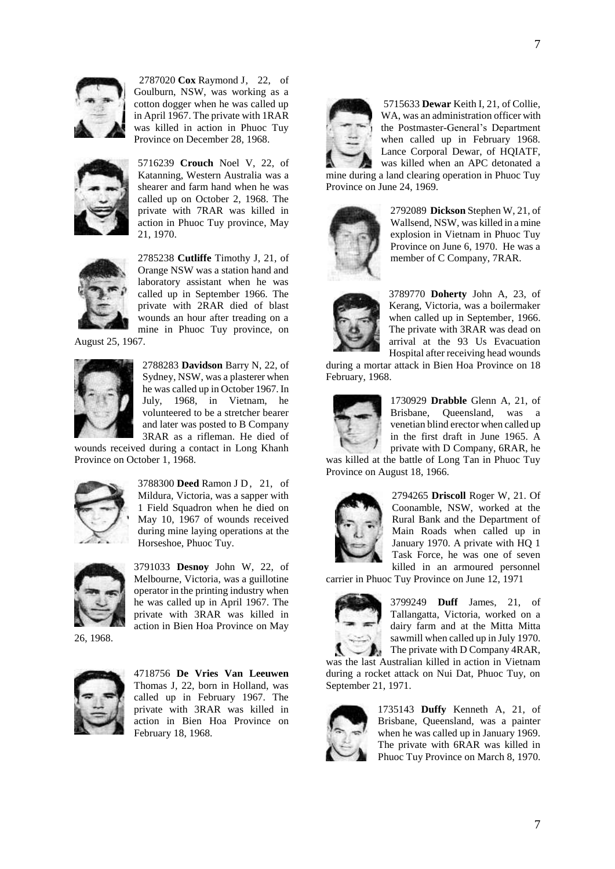

 2787020 **Cox** Raymond J, 22, of Goulburn, NSW, was working as a cotton dogger when he was called up in April 1967. The private with 1RAR was killed in action in Phuoc Tuy Province on December 28, 1968.



5716239 **Crouch** Noel V, 22, of Katanning, Western Australia was a shearer and farm hand when he was called up on October 2, 1968. The private with 7RAR was killed in action in Phuoc Tuy province, May 21, 1970.



2785238 **Cutliffe** Timothy J, 21, of Orange NSW was a station hand and laboratory assistant when he was called up in September 1966. The private with 2RAR died of blast wounds an hour after treading on a mine in Phuoc Tuy province, on

August 25, 1967.



2788283 **Davidson** Barry N, 22, of Sydney, NSW, was a plasterer when he was called up in October 1967. In July, 1968, in Vietnam, he volunteered to be a stretcher bearer and later was posted to B Company 3RAR as a rifleman. He died of

wounds received during a contact in Long Khanh Province on October 1, 1968.



3788300 **Deed** Ramon J D, 21, of Mildura, Victoria, was a sapper with 1 Field Squadron when he died on May 10, 1967 of wounds received during mine laying operations at the Horseshoe, Phuoc Tuy.



3791033 **Desnoy** John W, 22, of Melbourne, Victoria, was a guillotine operator in the printing industry when he was called up in April 1967. The private with 3RAR was killed in action in Bien Hoa Province on May

26, 1968.



4718756 **De Vries Van Leeuwen** Thomas J, 22, born in Holland, was called up in February 1967. The private with 3RAR was killed in action in Bien Hoa Province on February 18, 1968.



5715633 **Dewar** Keith I, 21, of Collie, WA, was an administration officer with the Postmaster-General's Department when called up in February 1968. Lance Corporal Dewar, of HQIATF, was killed when an APC detonated a

mine during a land clearing operation in Phuoc Tuy Province on June 24, 1969.



2792089 **Dickson** Stephen W, 21, of Wallsend, NSW, was killed in a mine explosion in Vietnam in Phuoc Tuy Province on June 6, 1970. He was a member of C Company, 7RAR.



3789770 **Doherty** John A, 23, of Kerang, Victoria, was a boilermaker when called up in September, 1966. The private with 3RAR was dead on arrival at the 93 Us Evacuation Hospital after receiving head wounds

during a mortar attack in Bien Hoa Province on 18 February, 1968.



1730929 **Drabble** Glenn A, 21, of Brisbane, Queensland, was a venetian blind erector when called up in the first draft in June 1965. A private with D Company, 6RAR, he

was killed at the battle of Long Tan in Phuoc Tuy Province on August 18, 1966.



2794265 **Driscoll** Roger W, 21. Of Coonamble, NSW, worked at the Rural Bank and the Department of Main Roads when called up in January 1970. A private with HQ 1 Task Force, he was one of seven killed in an armoured personnel

carrier in Phuoc Tuy Province on June 12, 1971



3799249 **Duff** James, 21, of Tallangatta, Victoria, worked on a dairy farm and at the Mitta Mitta sawmill when called up in July 1970. The private with D Company 4RAR,

was the last Australian killed in action in Vietnam during a rocket attack on Nui Dat, Phuoc Tuy, on September 21, 1971.



1735143 **Duffy** Kenneth A, 21, of Brisbane, Queensland, was a painter when he was called up in January 1969. The private with 6RAR was killed in Phuoc Tuy Province on March 8, 1970.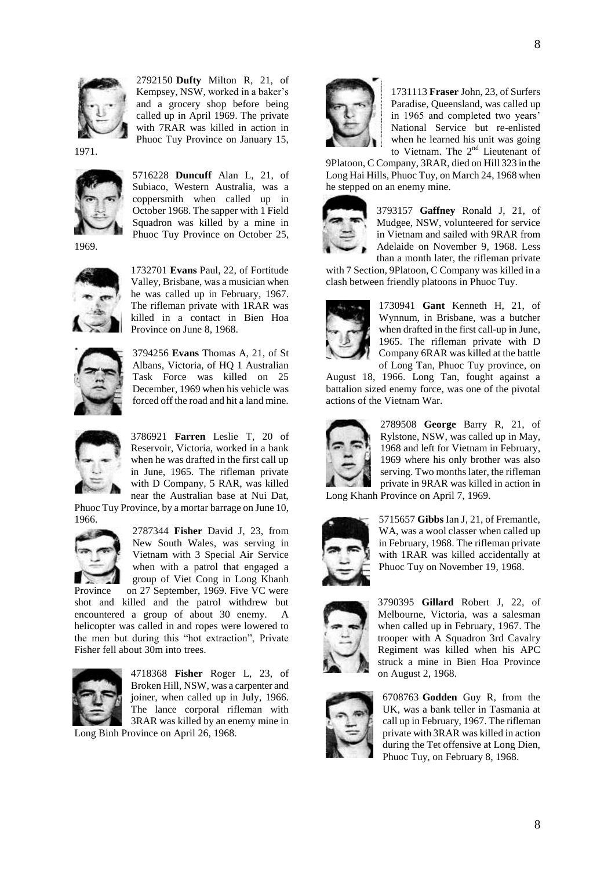

2792150 **Dufty** Milton R, 21, of Kempsey, NSW, worked in a baker"s and a grocery shop before being called up in April 1969. The private with 7RAR was killed in action in Phuoc Tuy Province on January 15,

1971.



5716228 **Duncuff** Alan L, 21, of Subiaco, Western Australia, was a coppersmith when called up in October 1968. The sapper with 1 Field Squadron was killed by a mine in Phuoc Tuy Province on October 25,

1969.



1732701 **Evans** Paul, 22, of Fortitude Valley, Brisbane, was a musician when he was called up in February, 1967. The rifleman private with 1RAR was killed in a contact in Bien Hoa Province on June 8, 1968.



3794256 **Evans** Thomas A, 21, of St Albans, Victoria, of HQ 1 Australian Task Force was killed on 25 December, 1969 when his vehicle was forced off the road and hit a land mine.



3786921 **Farren** Leslie T, 20 of Reservoir, Victoria, worked in a bank when he was drafted in the first call up in June, 1965. The rifleman private with D Company, 5 RAR, was killed near the Australian base at Nui Dat,

Phuoc Tuy Province, by a mortar barrage on June 10, 1966.



2787344 **Fisher** David J, 23, from New South Wales, was serving in Vietnam with 3 Special Air Service when with a patrol that engaged a group of Viet Cong in Long Khanh Province on 27 September, 1969. Five VC were

shot and killed and the patrol withdrew but encountered a group of about 30 enemy. A helicopter was called in and ropes were lowered to the men but during this "hot extraction", Private Fisher fell about 30m into trees.



4718368 **Fisher** Roger L, 23, of Broken Hill, NSW, was a carpenter and joiner, when called up in July, 1966. The lance corporal rifleman with 3RAR was killed by an enemy mine in

Long Binh Province on April 26, 1968.



1731113 **Fraser** John, 23, of Surfers Paradise, Queensland, was called up in 1965 and completed two years' National Service but re-enlisted when he learned his unit was going to Vietnam. The  $2<sup>nd</sup>$  Lieutenant of

9Platoon, C Company, 3RAR, died on Hill 323 in the Long Hai Hills, Phuoc Tuy, on March 24, 1968 when he stepped on an enemy mine.



3793157 **Gaffney** Ronald J, 21, of Mudgee, NSW, volunteered for service in Vietnam and sailed with 9RAR from Adelaide on November 9, 1968. Less than a month later, the rifleman private

with 7 Section, 9Platoon, C Company was killed in a clash between friendly platoons in Phuoc Tuy.



1730941 **Gant** Kenneth H, 21, of Wynnum, in Brisbane, was a butcher when drafted in the first call-up in June, 1965. The rifleman private with D Company 6RAR was killed at the battle of Long Tan, Phuoc Tuy province, on

August 18, 1966. Long Tan, fought against a battalion sized enemy force, was one of the pivotal actions of the Vietnam War.



2789508 **George** Barry R, 21, of Rylstone, NSW, was called up in May, 1968 and left for Vietnam in February, 1969 where his only brother was also serving. Two months later, the rifleman private in 9RAR was killed in action in

Long Khanh Province on April 7, 1969.



5715657 **Gibbs** Ian J, 21, of Fremantle, WA, was a wool classer when called up in February, 1968. The rifleman private with 1RAR was killed accidentally at Phuoc Tuy on November 19, 1968.



3790395 **Gillard** Robert J, 22, of Melbourne, Victoria, was a salesman when called up in February, 1967. The trooper with A Squadron 3rd Cavalry Regiment was killed when his APC struck a mine in Bien Hoa Province on August 2, 1968.



6708763 **Godden** Guy R, from the UK, was a bank teller in Tasmania at call up in February, 1967. The rifleman private with 3RAR was killed in action during the Tet offensive at Long Dien, Phuoc Tuy, on February 8, 1968.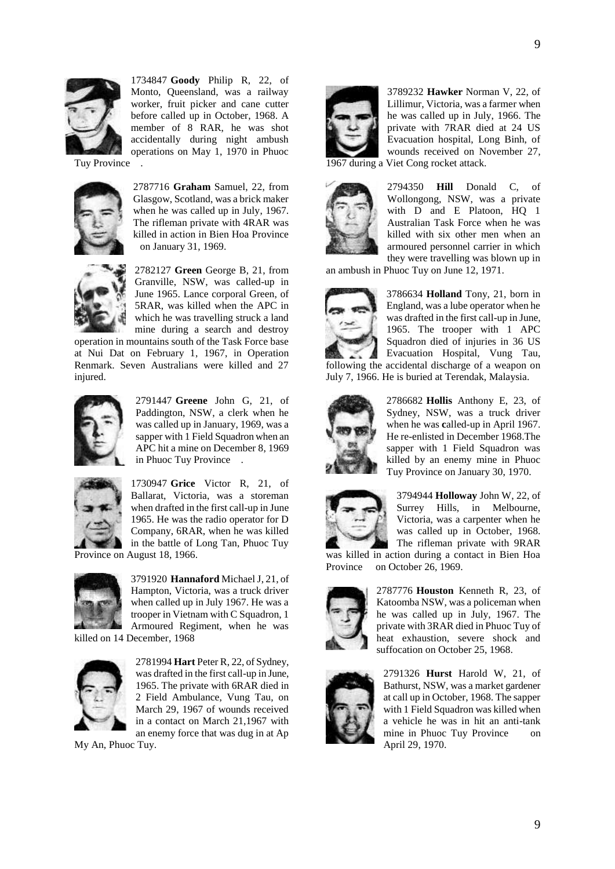

1734847 **Goody** Philip R, 22, of Monto, Queensland, was a railway worker, fruit picker and cane cutter before called up in October, 1968. A member of 8 RAR, he was shot accidentally during night ambush operations on May 1, 1970 in Phuoc

Tuy Province .



2787716 **Graham** Samuel, 22, from Glasgow, Scotland, was a brick maker when he was called up in July, 1967. The rifleman private with 4RAR was killed in action in Bien Hoa Province on January 31, 1969.



2782127 **Green** George B, 21, from Granville, NSW, was called-up in June 1965. Lance corporal Green, of 5RAR, was killed when the APC in which he was travelling struck a land mine during a search and destroy

operation in mountains south of the Task Force base at Nui Dat on February 1, 1967, in Operation Renmark. Seven Australians were killed and 27 injured.



2791447 **Greene** John G, 21, of Paddington, NSW, a clerk when he was called up in January, 1969, was a sapper with 1 Field Squadron when an APC hit a mine on December 8, 1969 in Phuoc Tuy Province .



1730947 **Grice** Victor R, 21, of Ballarat, Victoria, was a storeman when drafted in the first call-up in June 1965. He was the radio operator for D Company, 6RAR, when he was killed in the battle of Long Tan, Phuoc Tuy Province on August 18, 1966.



3791920 **Hannaford** Michael J, 21, of Hampton, Victoria, was a truck driver when called up in July 1967. He was a trooper in Vietnam with C Squadron, 1 Armoured Regiment, when he was

killed on 14 December, 1968



2781994 **Hart** Peter R, 22, of Sydney, was drafted in the first call-up in June, 1965. The private with 6RAR died in 2 Field Ambulance, Vung Tau, on March 29, 1967 of wounds received in a contact on March 21,1967 with an enemy force that was dug in at Ap

My An, Phuoc Tuy.



3789232 **Hawker** Norman V, 22, of Lillimur, Victoria, was a farmer when he was called up in July, 1966. The private with 7RAR died at 24 US Evacuation hospital, Long Binh, of wounds received on November 27, 1967 during a Viet Cong rocket attack.



2794350 **Hill** Donald C, of Wollongong, NSW, was a private with D and E Platoon, HQ 1 Australian Task Force when he was killed with six other men when an armoured personnel carrier in which they were travelling was blown up in

an ambush in Phuoc Tuy on June 12, 1971.



3786634 **Holland** Tony, 21, born in England, was a lube operator when he was drafted in the first call-up in June, 1965. The trooper with 1 APC Squadron died of injuries in 36 US Evacuation Hospital, Vung Tau, following the accidental discharge of a weapon on July 7, 1966. He is buried at Terendak, Malaysia.



2786682 **Hollis** Anthony E, 23, of Sydney, NSW, was a truck driver when he was **c**alled-up in April 1967. He re-enlisted in December 1968.The sapper with 1 Field Squadron was killed by an enemy mine in Phuoc Tuy Province on January 30, 1970.



3794944 **Holloway** John W, 22, of Surrey Hills, in Melbourne, Victoria, was a carpenter when he was called up in October, 1968. The rifleman private with 9RAR

was killed in action during a contact in Bien Hoa Province on October 26, 1969.



2787776 **Houston** Kenneth R, 23, of Katoomba NSW, was a policeman when he was called up in July, 1967. The private with 3RAR died in Phuoc Tuy of heat exhaustion, severe shock and suffocation on October 25, 1968.



2791326 **Hurst** Harold W, 21, of Bathurst, NSW, was a market gardener at call up in October, 1968. The sapper with 1 Field Squadron was killed when a vehicle he was in hit an anti-tank mine in Phuoc Tuy Province on April 29, 1970.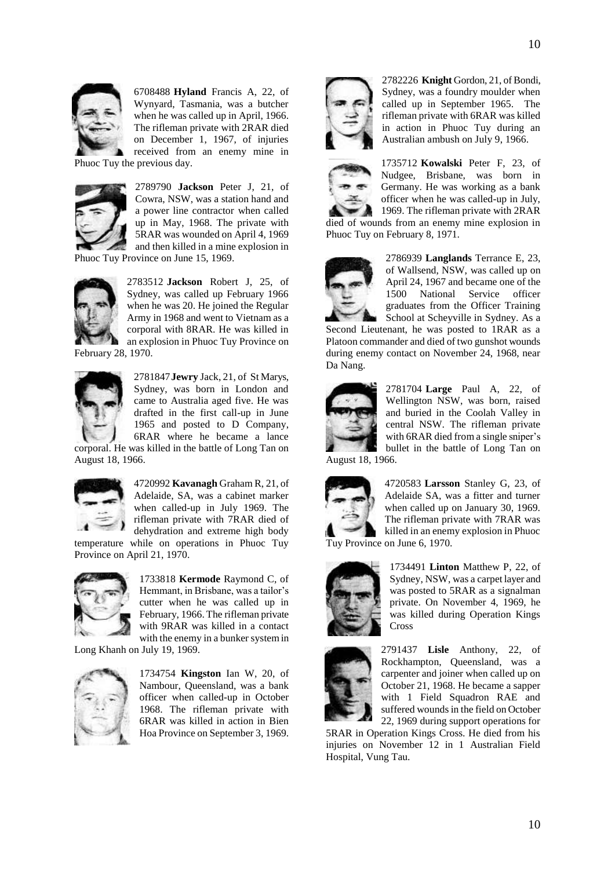

6708488 **Hyland** Francis A, 22, of Wynyard, Tasmania, was a butcher when he was called up in April, 1966. The rifleman private with 2RAR died on December 1, 1967, of injuries received from an enemy mine in

Phuoc Tuy the previous day.



2789790 **Jackson** Peter J, 21, of Cowra, NSW, was a station hand and a power line contractor when called up in May, 1968. The private with 5RAR was wounded on April 4, 1969 and then killed in a mine explosion in

Phuoc Tuy Province on June 15, 1969.



2783512 **Jackson** Robert J, 25, of Sydney, was called up February 1966 when he was 20. He joined the Regular Army in 1968 and went to Vietnam as a corporal with 8RAR. He was killed in an explosion in Phuoc Tuy Province on

February 28, 1970.



2781847**Jewry** Jack, 21, of St Marys, Sydney, was born in London and came to Australia aged five. He was drafted in the first call-up in June 1965 and posted to D Company, 6RAR where he became a lance corporal. He was killed in the battle of Long Tan on

August 18, 1966.



4720992 **Kavanagh** Graham R, 21, of Adelaide, SA, was a cabinet marker when called-up in July 1969. The rifleman private with 7RAR died of dehydration and extreme high body temperature while on operations in Phuoc Tuy

Province on April 21, 1970.



1733818 **Kermode** Raymond C, of Hemmant, in Brisbane, was a tailor's cutter when he was called up in February, 1966. The rifleman private with 9RAR was killed in a contact with the enemy in a bunker system in

Long Khanh on July 19, 1969.



1734754 **Kingston** Ian W, 20, of Nambour, Queensland, was a bank officer when called-up in October 1968. The rifleman private with 6RAR was killed in action in Bien Hoa Province on September 3, 1969.



2782226 **Knight** Gordon, 21, of Bondi, Sydney, was a foundry moulder when called up in September 1965. The rifleman private with 6RAR was killed in action in Phuoc Tuy during an Australian ambush on July 9, 1966.



1735712 **Kowalski** Peter F, 23, of Nudgee, Brisbane, was born in Germany. He was working as a bank officer when he was called-up in July, 1969. The rifleman private with 2RAR

died of wounds from an enemy mine explosion in Phuoc Tuy on February 8, 1971.



2786939 **Langlands** Terrance E, 23, of Wallsend, NSW, was called up on April 24, 1967 and became one of the 1500 National Service officer graduates from the Officer Training School at Scheyville in Sydney. As a

Second Lieutenant, he was posted to 1RAR as a Platoon commander and died of two gunshot wounds during enemy contact on November 24, 1968, near Da Nang.



2781704 **Large** Paul A, 22, of Wellington NSW, was born, raised and buried in the Coolah Valley in central NSW. The rifleman private with 6RAR died from a single sniper's bullet in the battle of Long Tan on

August 18, 1966.



4720583 **Larsson** Stanley G, 23, of Adelaide SA, was a fitter and turner when called up on January 30, 1969. The rifleman private with 7RAR was killed in an enemy explosion in Phuoc Tuy Province on June 6, 1970.



1734491 **Linton** Matthew P, 22, of Sydney, NSW, was a carpet layer and was posted to 5RAR as a signalman private. On November 4, 1969, he was killed during Operation Kings Cross



2791437 **Lisle** Anthony, 22, of Rockhampton, Queensland, was a carpenter and joiner when called up on October 21, 1968. He became a sapper with 1 Field Squadron RAE and suffered wounds in the field on October 22, 1969 during support operations for

5RAR in Operation Kings Cross. He died from his injuries on November 12 in 1 Australian Field Hospital, Vung Tau.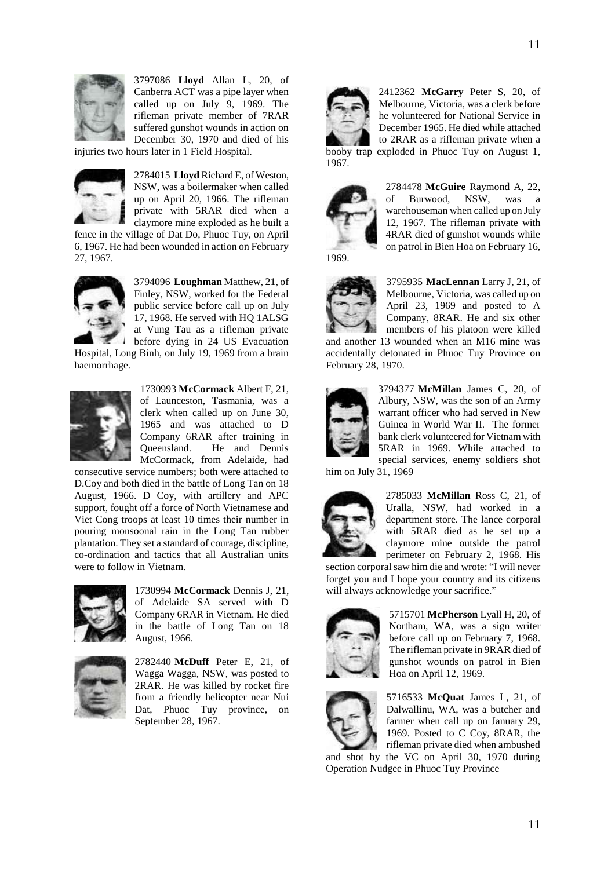

3797086 **Lloyd** Allan L, 20, of Canberra ACT was a pipe layer when called up on July 9, 1969. The rifleman private member of 7RAR suffered gunshot wounds in action on December 30, 1970 and died of his

injuries two hours later in 1 Field Hospital.



2784015 **Lloyd** Richard E, of Weston, NSW, was a boilermaker when called up on April 20, 1966. The rifleman private with 5RAR died when a claymore mine exploded as he built a

fence in the village of Dat Do, Phuoc Tuy, on April 6, 1967. He had been wounded in action on February 27, 1967.



3794096 **Loughman** Matthew, 21, of Finley, NSW, worked for the Federal public service before call up on July 17, 1968. He served with HQ 1ALSG at Vung Tau as a rifleman private before dying in 24 US Evacuation

Hospital, Long Binh, on July 19, 1969 from a brain haemorrhage.



1730993 **McCormack** Albert F, 21, of Launceston, Tasmania, was a clerk when called up on June 30, 1965 and was attached to D Company 6RAR after training in Queensland. He and Dennis McCormack, from Adelaide, had

consecutive service numbers; both were attached to D.Coy and both died in the battle of Long Tan on 18 August, 1966. D Coy, with artillery and APC support, fought off a force of North Vietnamese and Viet Cong troops at least 10 times their number in pouring monsoonal rain in the Long Tan rubber plantation. They set a standard of courage, discipline, co-ordination and tactics that all Australian units were to follow in Vietnam.



1730994 **McCormack** Dennis J, 21, of Adelaide SA served with D Company 6RAR in Vietnam. He died in the battle of Long Tan on 18 August, 1966.



2782440 **McDuff** Peter E, 21, of Wagga Wagga, NSW, was posted to 2RAR. He was killed by rocket fire from a friendly helicopter near Nui Dat, Phuoc Tuy province, on September 28, 1967.



2412362 **McGarry** Peter S, 20, of Melbourne, Victoria, was a clerk before he volunteered for National Service in December 1965. He died while attached to 2RAR as a rifleman private when a booby trap exploded in Phuoc Tuy on August 1,



2784478 **McGuire** Raymond A, 22, of Burwood, NSW, was a warehouseman when called up on July 12, 1967. The rifleman private with 4RAR died of gunshot wounds while on patrol in Bien Hoa on February 16,



3795935 **MacLennan** Larry J, 21, of Melbourne, Victoria, was called up on April 23, 1969 and posted to A Company, 8RAR. He and six other members of his platoon were killed

and another 13 wounded when an M16 mine was accidentally detonated in Phuoc Tuy Province on February 28, 1970.



3794377 **McMillan** James C, 20, of Albury, NSW, was the son of an Army warrant officer who had served in New Guinea in World War II. The former bank clerk volunteered for Vietnam with 5RAR in 1969. While attached to special services, enemy soldiers shot

him on July 31, 1969



2785033 **McMillan** Ross C, 21, of Uralla, NSW, had worked in a department store. The lance corporal with 5RAR died as he set up a claymore mine outside the patrol perimeter on February 2, 1968. His

section corporal saw him die and wrote: "I will never forget you and I hope your country and its citizens will always acknowledge your sacrifice."



5715701 **McPherson** Lyall H, 20, of Northam, WA, was a sign writer before call up on February 7, 1968. The rifleman private in 9RAR died of gunshot wounds on patrol in Bien Hoa on April 12, 1969.



5716533 **McQuat** James L, 21, of Dalwallinu, WA, was a butcher and farmer when call up on January 29, 1969. Posted to C Coy, 8RAR, the rifleman private died when ambushed

and shot by the VC on April 30, 1970 during Operation Nudgee in Phuoc Tuy Province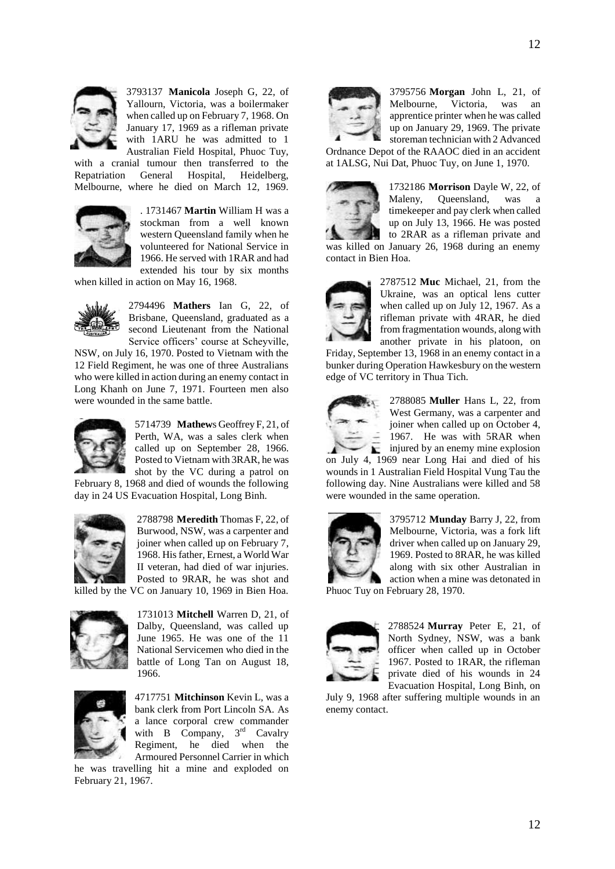

3793137 **Manicola** Joseph G, 22, of Yallourn, Victoria, was a boilermaker when called up on February 7, 1968. On January 17, 1969 as a rifleman private with 1ARU he was admitted to 1 Australian Field Hospital, Phuoc Tuy,

with a cranial tumour then transferred to the Repatriation General Hospital, Heidelberg, Melbourne, where he died on March 12, 1969.



. 1731467 **Martin** William H was a stockman from a well known western Queensland family when he volunteered for National Service in 1966. He served with 1RAR and had extended his tour by six months

when killed in action on May 16, 1968.



2794496 **Mathers** Ian G, 22, of Brisbane, Queensland, graduated as a second Lieutenant from the National Service officers' course at Scheyville,

NSW, on July 16, 1970. Posted to Vietnam with the 12 Field Regiment, he was one of three Australians who were killed in action during an enemy contact in Long Khanh on June 7, 1971. Fourteen men also were wounded in the same battle.



5714739 **Mathew**s Geoffrey F, 21, of Perth, WA, was a sales clerk when called up on September 28, 1966. Posted to Vietnam with 3RAR, he was shot by the VC during a patrol on

February 8, 1968 and died of wounds the following day in 24 US Evacuation Hospital, Long Binh.



2788798 **Meredith** Thomas F, 22, of Burwood, NSW, was a carpenter and joiner when called up on February 7, 1968. His father, Ernest, a World War II veteran, had died of war injuries. Posted to 9RAR, he was shot and

killed by the VC on January 10, 1969 in Bien Hoa.



1731013 **Mitchell** Warren D, 21, of Dalby, Queensland, was called up June 1965. He was one of the 11 National Servicemen who died in the battle of Long Tan on August 18, 1966.



4717751 **Mitchinson** Kevin L, was a bank clerk from Port Lincoln SA. As a lance corporal crew commander with  $\overline{B}$  Company,  $3^{rd}$  Cavalry Regiment, he died when the Armoured Personnel Carrier in which

he was travelling hit a mine and exploded on February 21, 1967.



3795756 **Morgan** John L, 21, of Melbourne, Victoria, was an apprentice printer when he was called up on January 29, 1969. The private storeman technician with 2 Advanced

Ordnance Depot of the RAAOC died in an accident at 1ALSG, Nui Dat, Phuoc Tuy, on June 1, 1970.



1732186 **Morrison** Dayle W, 22, of Maleny, Queensland, was a timekeeper and pay clerk when called up on July 13, 1966. He was posted to 2RAR as a rifleman private and

was killed on January 26, 1968 during an enemy contact in Bien Hoa.



2787512 **Muc** Michael, 21, from the Ukraine, was an optical lens cutter when called up on July 12, 1967. As a rifleman private with 4RAR, he died from fragmentation wounds, along with another private in his platoon, on

Friday, September 13, 1968 in an enemy contact in a bunker during Operation Hawkesbury on the western edge of VC territory in Thua Tich.



2788085 **Muller** Hans L, 22, from West Germany, was a carpenter and joiner when called up on October 4, 1967. He was with 5RAR when  $\sum$  injured by an enemy mine explosion

on July 4, 1969 near Long Hai and died of his wounds in 1 Australian Field Hospital Vung Tau the following day. Nine Australians were killed and 58 were wounded in the same operation.



3795712 **Munday** Barry J, 22, from Melbourne, Victoria, was a fork lift driver when called up on January 29, 1969. Posted to 8RAR, he was killed along with six other Australian in action when a mine was detonated in

Phuoc Tuy on February 28, 1970.



2788524 **Murray** Peter E, 21, of North Sydney, NSW, was a bank officer when called up in October 1967. Posted to 1RAR, the rifleman private died of his wounds in 24 Evacuation Hospital, Long Binh, on

July 9, 1968 after suffering multiple wounds in an enemy contact.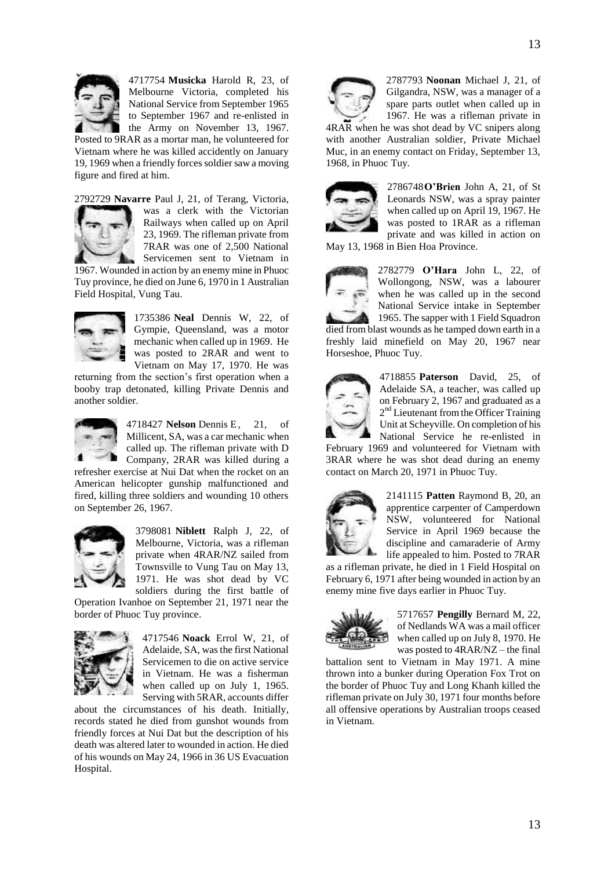

4717754 **Musicka** Harold R, 23, of Melbourne Victoria, completed his National Service from September 1965 to September 1967 and re-enlisted in the Army on November 13, 1967.

Posted to 9RAR as a mortar man, he volunteered for Vietnam where he was killed accidently on January 19, 1969 when a friendly forces soldier saw a moving figure and fired at him.

2792729 **Navarre** Paul J, 21, of Terang, Victoria,



was a clerk with the Victorian Railways when called up on April 23, 1969. The rifleman private from 7RAR was one of 2,500 National Servicemen sent to Vietnam in

1967. Wounded in action by an enemy mine in Phuoc Tuy province, he died on June 6, 1970 in 1 Australian Field Hospital, Vung Tau.



1735386 **Neal** Dennis W, 22, of Gympie, Queensland, was a motor mechanic when called up in 1969. He was posted to 2RAR and went to Vietnam on May 17, 1970. He was

returning from the section"s first operation when a booby trap detonated, killing Private Dennis and another soldier.



4718427 **Nelson** Dennis E, 21, of Millicent, SA, was a car mechanic when called up. The rifleman private with D Company, 2RAR was killed during a

refresher exercise at Nui Dat when the rocket on an American helicopter gunship malfunctioned and fired, killing three soldiers and wounding 10 others on September 26, 1967.



3798081 **Niblett** Ralph J, 22, of Melbourne, Victoria, was a rifleman private when 4RAR/NZ sailed from Townsville to Vung Tau on May 13, 1971. He was shot dead by VC soldiers during the first battle of

Operation Ivanhoe on September 21, 1971 near the border of Phuoc Tuy province.



4717546 **Noack** Errol W, 21, of Adelaide, SA, was the first National Servicemen to die on active service in Vietnam. He was a fisherman when called up on July 1, 1965. Serving with 5RAR, accounts differ

about the circumstances of his death. Initially, records stated he died from gunshot wounds from friendly forces at Nui Dat but the description of his death was altered later to wounded in action. He died of his wounds on May 24, 1966 in 36 US Evacuation Hospital.



2787793 **Noonan** Michael J, 21, of Gilgandra, NSW, was a manager of a spare parts outlet when called up in 1967. He was a rifleman private in

4RAR when he was shot dead by VC snipers along with another Australian soldier, Private Michael Muc, in an enemy contact on Friday, September 13, 1968, in Phuoc Tuy.



2786748**O'Brien** John A, 21, of St Leonards NSW, was a spray painter when called up on April 19, 1967. He was posted to 1RAR as a rifleman private and was killed in action on

May 13, 1968 in Bien Hoa Province.



2782779 **O'Hara** John L, 22, of Wollongong, NSW, was a labourer when he was called up in the second National Service intake in September 1965. The sapper with 1 Field Squadron

died from blast wounds as he tamped down earth in a freshly laid minefield on May 20, 1967 near Horseshoe, Phuoc Tuy.



4718855 **Paterson** David, 25, of Adelaide SA, a teacher, was called up on February 2, 1967 and graduated as a 2<sup>nd</sup> Lieutenant from the Officer Training Unit at Scheyville. On completion of his National Service he re-enlisted in

February 1969 and volunteered for Vietnam with 3RAR where he was shot dead during an enemy contact on March 20, 1971 in Phuoc Tuy.



2141115 **Patten** Raymond B, 20, an apprentice carpenter of Camperdown NSW, volunteered for National Service in April 1969 because the discipline and camaraderie of Army life appealed to him. Posted to 7RAR

as a rifleman private, he died in 1 Field Hospital on February 6, 1971 after being wounded in action by an enemy mine five days earlier in Phuoc Tuy.



5717657 **Pengilly** Bernard M, 22, of Nedlands WA was a mail officer when called up on July 8, 1970. He was posted to 4RAR/NZ – the final

battalion sent to Vietnam in May 1971. A mine thrown into a bunker during Operation Fox Trot on the border of Phuoc Tuy and Long Khanh killed the rifleman private on July 30, 1971 four months before all offensive operations by Australian troops ceased in Vietnam.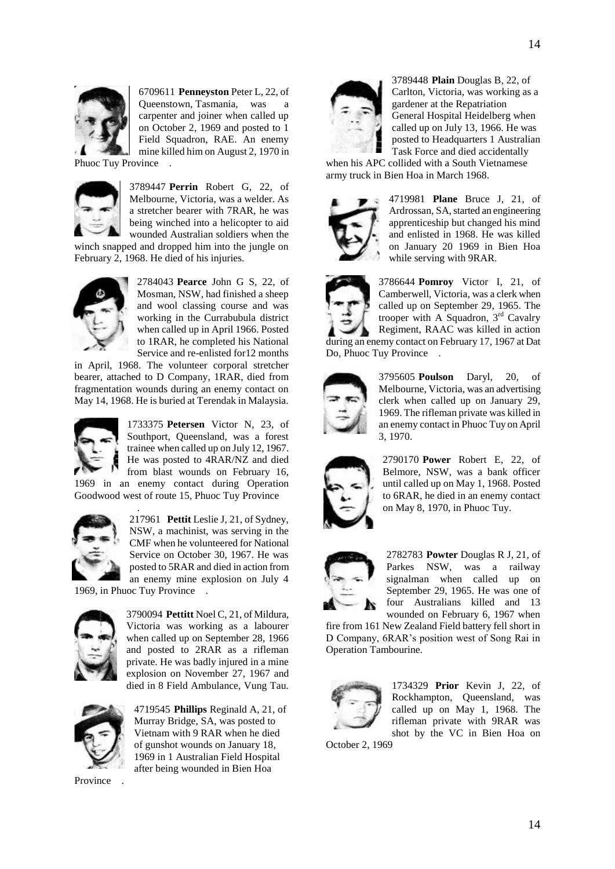

6709611 **Penneyston** Peter L, 22, of Queenstown, Tasmania, was a carpenter and joiner when called up on October 2, 1969 and posted to 1 Field Squadron, RAE. An enemy mine killed him on August 2, 1970 in

Phuoc Tuy Province .



3789447 **Perrin** Robert G, 22, of Melbourne, Victoria, was a welder. As a stretcher bearer with 7RAR, he was being winched into a helicopter to aid wounded Australian soldiers when the

winch snapped and dropped him into the jungle on February 2, 1968. He died of his injuries.



2784043 **Pearce** John G S, 22, of Mosman, NSW, had finished a sheep and wool classing course and was working in the Currabubula district when called up in April 1966. Posted to 1RAR, he completed his National Service and re-enlisted for12 months

in April, 1968. The volunteer corporal stretcher bearer, attached to D Company, 1RAR, died from fragmentation wounds during an enemy contact on May 14, 1968. He is buried at Terendak in Malaysia.



1733375 **Petersen** Victor N, 23, of Southport, Queensland, was a forest trainee when called up on July 12, 1967. He was posted to 4RAR/NZ and died from blast wounds on February 16,

1969 in an enemy contact during Operation Goodwood west of route 15, Phuoc Tuy Province .



217961 **Pettit** Leslie J, 21, of Sydney, NSW, a machinist, was serving in the CMF when he volunteered for National Service on October 30, 1967. He was posted to 5RAR and died in action from an enemy mine explosion on July 4

1969, in Phuoc Tuy Province .



3790094 **Pettitt** Noel C, 21, of Mildura, Victoria was working as a labourer when called up on September 28, 1966 and posted to 2RAR as a rifleman private. He was badly injured in a mine explosion on November 27, 1967 and died in 8 Field Ambulance, Vung Tau.



4719545 **Phillips** Reginald A, 21, of Murray Bridge, SA, was posted to Vietnam with 9 RAR when he died of gunshot wounds on January 18, 1969 in 1 Australian Field Hospital after being wounded in Bien Hoa

Province .



3789448 **Plain** Douglas B, 22, of Carlton, Victoria, was working as a gardener at the Repatriation General Hospital Heidelberg when called up on July 13, 1966. He was posted to Headquarters 1 Australian Task Force and died accidentally

when his APC collided with a South Vietnamese army truck in Bien Hoa in March 1968.



4719981 **Plane** Bruce J, 21, of Ardrossan, SA, started an engineering apprenticeship but changed his mind and enlisted in 1968. He was killed on January 20 1969 in Bien Hoa while serving with 9RAR.



3786644 **Pomroy** Victor I, 21, of Camberwell, Victoria, was a clerk when called up on September 29, 1965. The trooper with A Squadron, 3 rd Cavalry Regiment, RAAC was killed in action

during an enemy contact on February 17, 1967 at Dat Do, Phuoc Tuy Province .



3795605 **Poulson** Daryl, 20, of Melbourne, Victoria, was an advertising clerk when called up on January 29, 1969. The rifleman private was killed in an enemy contact in Phuoc Tuy on April 3, 1970.



2790170 **Power** Robert E, 22, of Belmore, NSW, was a bank officer until called up on May 1, 1968. Posted to 6RAR, he died in an enemy contact on May 8, 1970, in Phuoc Tuy.



2782783 **Powter** Douglas R J, 21, of Parkes NSW, was a railway signalman when called up on September 29, 1965. He was one of four Australians killed and 13 wounded on February 6, 1967 when

fire from 161 New Zealand Field battery fell short in D Company, 6RAR"s position west of Song Rai in Operation Tambourine.



1734329 **Prior** Kevin J, 22, of Rockhampton, Queensland, was called up on May 1, 1968. The rifleman private with 9RAR was shot by the VC in Bien Hoa on

October 2, 1969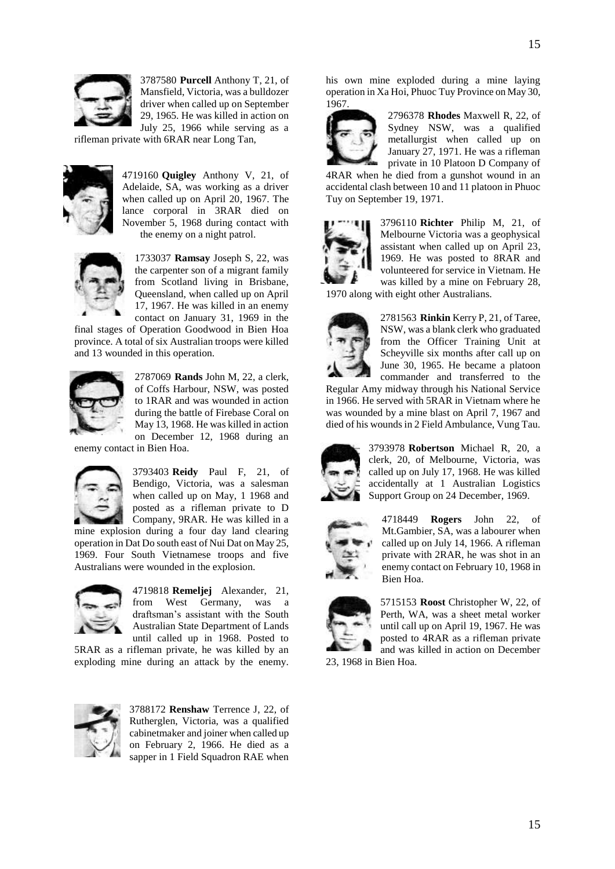

3787580 **Purcell** Anthony T, 21, of Mansfield, Victoria, was a bulldozer driver when called up on September 29, 1965. He was killed in action on July 25, 1966 while serving as a

rifleman private with 6RAR near Long Tan,



4719160 **Quigley** Anthony V, 21, of Adelaide, SA, was working as a driver when called up on April 20, 1967. The lance corporal in 3RAR died on November 5, 1968 during contact with the enemy on a night patrol.



1733037 **Ramsay** Joseph S, 22, was the carpenter son of a migrant family from Scotland living in Brisbane, Queensland, when called up on April 17, 1967. He was killed in an enemy contact on January 31, 1969 in the

final stages of Operation Goodwood in Bien Hoa province. A total of six Australian troops were killed and 13 wounded in this operation.



2787069 **Rands** John M, 22, a clerk, of Coffs Harbour, NSW, was posted to 1RAR and was wounded in action during the battle of Firebase Coral on May 13, 1968. He was killed in action on December 12, 1968 during an

enemy contact in Bien Hoa.



3793403 **Reidy** Paul F, 21, of Bendigo, Victoria, was a salesman when called up on May, 1 1968 and posted as a rifleman private to D Company, 9RAR. He was killed in a mine explosion during a four day land clearing

operation in Dat Do south east of Nui Dat on May 25, 1969. Four South Vietnamese troops and five Australians were wounded in the explosion.



4719818 **Remeljej** Alexander, 21, from West Germany, was a draftsman"s assistant with the South Australian State Department of Lands until called up in 1968. Posted to

5RAR as a rifleman private, he was killed by an exploding mine during an attack by the enemy.



3788172 **Renshaw** Terrence J, 22, of Rutherglen, Victoria, was a qualified cabinetmaker and joiner when called up on February 2, 1966. He died as a sapper in 1 Field Squadron RAE when

his own mine exploded during a mine laying operation in Xa Hoi, Phuoc Tuy Province on May 30, 1967.



2796378 **Rhodes** Maxwell R, 22, of Sydney NSW, was a qualified metallurgist when called up on January 27, 1971. He was a rifleman private in 10 Platoon D Company of

4RAR when he died from a gunshot wound in an accidental clash between 10 and 11 platoon in Phuoc Tuy on September 19, 1971.



3796110 **Richter** Philip M, 21, of Melbourne Victoria was a geophysical assistant when called up on April 23, 1969. He was posted to 8RAR and volunteered for service in Vietnam. He was killed by a mine on February 28,

1970 along with eight other Australians.



2781563 **Rinkin** Kerry P, 21, of Taree, NSW, was a blank clerk who graduated from the Officer Training Unit at Scheyville six months after call up on June 30, 1965. He became a platoon commander and transferred to the

Regular Amy midway through his National Service in 1966. He served with 5RAR in Vietnam where he was wounded by a mine blast on April 7, 1967 and died of his wounds in 2 Field Ambulance, Vung Tau.



3793978 **Robertson** Michael R, 20, a clerk, 20, of Melbourne, Victoria, was called up on July 17, 1968. He was killed accidentally at 1 Australian Logistics Support Group on 24 December, 1969.



4718449 **Rogers** John 22, of Mt.Gambier, SA, was a labourer when called up on July 14, 1966. A rifleman private with 2RAR, he was shot in an enemy contact on February 10, 1968 in Bien Hoa.



5715153 **Roost** Christopher W, 22, of Perth, WA, was a sheet metal worker until call up on April 19, 1967. He was posted to 4RAR as a rifleman private and was killed in action on December

23, 1968 in Bien Hoa.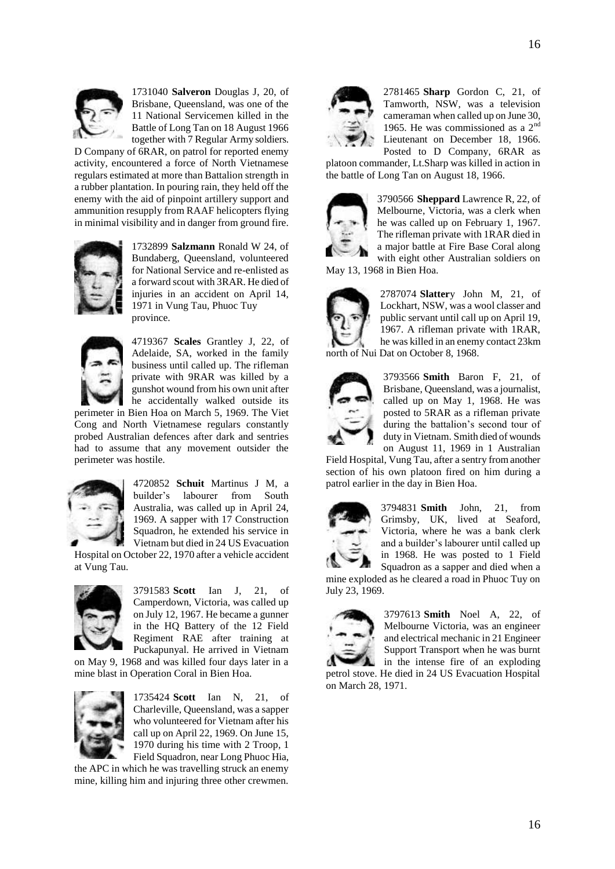

1731040 **Salveron** Douglas J, 20, of Brisbane, Queensland, was one of the 11 National Servicemen killed in the Battle of Long Tan on 18 August 1966 together with 7 Regular Army soldiers.

D Company of 6RAR, on patrol for reported enemy activity, encountered a force of North Vietnamese regulars estimated at more than Battalion strength in a rubber plantation. In pouring rain, they held off the enemy with the aid of pinpoint artillery support and ammunition resupply from RAAF helicopters flying in minimal visibility and in danger from ground fire.



1732899 **Salzmann** Ronald W 24, of Bundaberg, Queensland, volunteered for National Service and re-enlisted as a forward scout with 3RAR. He died of injuries in an accident on April 14, 1971 in Vung Tau, Phuoc Tuy province.



4719367 **Scales** Grantley J, 22, of Adelaide, SA, worked in the family business until called up. The rifleman private with 9RAR was killed by a gunshot wound from his own unit after he accidentally walked outside its

perimeter in Bien Hoa on March 5, 1969. The Viet Cong and North Vietnamese regulars constantly probed Australian defences after dark and sentries had to assume that any movement outsider the perimeter was hostile.



4720852 **Schuit** Martinus J M, a builder"s labourer from South Australia, was called up in April 24, 1969. A sapper with 17 Construction Squadron, he extended his service in Vietnam but died in 24 US Evacuation

Hospital on October 22, 1970 after a vehicle accident at Vung Tau.



3791583 **Scott** Ian J, 21, of Camperdown, Victoria, was called up on July 12, 1967. He became a gunner in the HQ Battery of the 12 Field Regiment RAE after training at Puckapunyal. He arrived in Vietnam

on May 9, 1968 and was killed four days later in a mine blast in Operation Coral in Bien Hoa.



1735424 **Scott** Ian N, 21, of Charleville, Queensland, was a sapper who volunteered for Vietnam after his call up on April 22, 1969. On June 15, 1970 during his time with 2 Troop, 1 Field Squadron, near Long Phuoc Hia,

the APC in which he was travelling struck an enemy mine, killing him and injuring three other crewmen.



2781465 **Sharp** Gordon C, 21, of Tamworth, NSW, was a television cameraman when called up on June 30, 1965. He was commissioned as a 2nd Lieutenant on December 18, 1966. Posted to D Company, 6RAR as

platoon commander, Lt.Sharp was killed in action in the battle of Long Tan on August 18, 1966.



3790566 **Sheppard** Lawrence R, 22, of Melbourne, Victoria, was a clerk when he was called up on February 1, 1967. The rifleman private with 1RAR died in a major battle at Fire Base Coral along

with eight other Australian soldiers on May 13, 1968 in Bien Hoa.



2787074 **Slatter**y John M, 21, of Lockhart, NSW, was a wool classer and public servant until call up on April 19, 1967. A rifleman private with 1RAR, he was killed in an enemy contact 23km north of Nui Dat on October 8, 1968.



3793566 **Smith** Baron F, 21, of Brisbane, Queensland, was a journalist, called up on May 1, 1968. He was posted to 5RAR as a rifleman private during the battalion"s second tour of duty in Vietnam. Smith died of wounds on August 11, 1969 in 1 Australian

Field Hospital, Vung Tau, after a sentry from another section of his own platoon fired on him during a patrol earlier in the day in Bien Hoa.



3794831 **Smith** John, 21, from Grimsby, UK, lived at Seaford, Victoria, where he was a bank clerk and a builder"s labourer until called up in 1968. He was posted to 1 Field

Squadron as a sapper and died when a mine exploded as he cleared a road in Phuoc Tuy on July 23, 1969.



3797613 **Smith** Noel A, 22, of Melbourne Victoria, was an engineer and electrical mechanic in 21 Engineer Support Transport when he was burnt in the intense fire of an exploding

petrol stove. He died in 24 US Evacuation Hospital on March 28, 1971.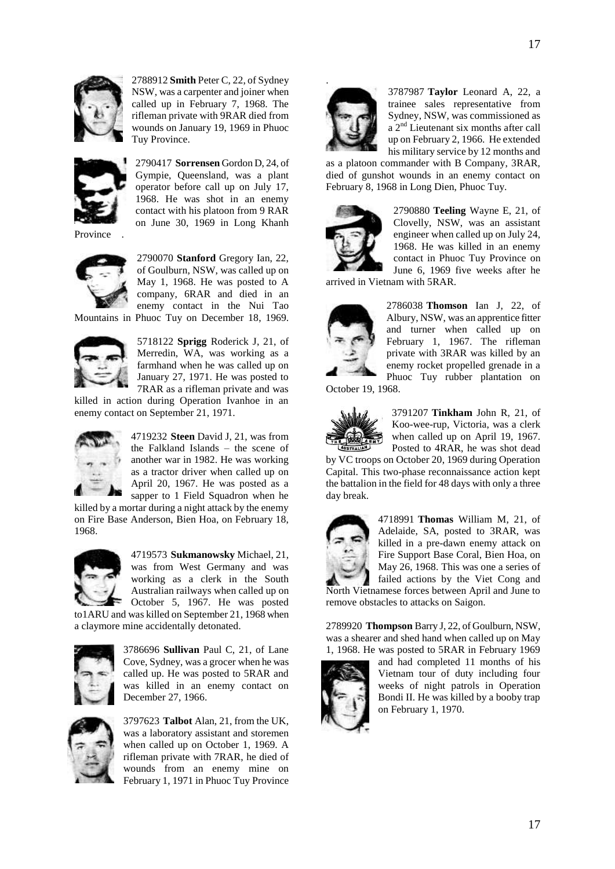

2788912 **Smith** Peter C, 22, of Sydney NSW, was a carpenter and joiner when called up in February 7, 1968. The rifleman private with 9RAR died from wounds on January 19, 1969 in Phuoc Tuy Province.



2790417 **Sorrensen** Gordon D, 24, of Gympie, Queensland, was a plant operator before call up on July 17, 1968. He was shot in an enemy contact with his platoon from 9 RAR on June 30, 1969 in Long Khanh

**Province** 



2790070 **Stanford** Gregory Ian, 22, of Goulburn, NSW, was called up on May 1, 1968. He was posted to A company, 6RAR and died in an enemy contact in the Nui Tao Mountains in Phuoc Tuy on December 18, 1969.



5718122 **Sprigg** Roderick J, 21, of Merredin, WA, was working as a farmhand when he was called up on January 27, 1971. He was posted to 7RAR as a rifleman private and was

killed in action during Operation Ivanhoe in an enemy contact on September 21, 1971.



4719232 **Steen** David J, 21, was from the Falkland Islands – the scene of another war in 1982. He was working as a tractor driver when called up on April 20, 1967. He was posted as a sapper to 1 Field Squadron when he

killed by a mortar during a night attack by the enemy on Fire Base Anderson, Bien Hoa, on February 18, 1968.



4719573 **Sukmanowsky** Michael, 21, was from West Germany and was working as a clerk in the South Australian railways when called up on October 5, 1967. He was posted to1ARU and was killed on September 21, 1968 when

a claymore mine accidentally detonated.



3786696 **Sullivan** Paul C, 21, of Lane Cove, Sydney, was a grocer when he was called up. He was posted to 5RAR and was killed in an enemy contact on December 27, 1966.



3797623 **Talbot** Alan, 21, from the UK, was a laboratory assistant and storemen when called up on October 1, 1969. A rifleman private with 7RAR, he died of wounds from an enemy mine on February 1, 1971 in Phuoc Tuy Province



3787987 **Taylor** Leonard A, 22, a trainee sales representative from Sydney, NSW, was commissioned as a 2<sup>nd</sup> Lieutenant six months after call up on February 2, 1966. He extended his military service by 12 months and

as a platoon commander with B Company, 3RAR, died of gunshot wounds in an enemy contact on February 8, 1968 in Long Dien, Phuoc Tuy.



2790880 **Teeling** Wayne E, 21, of Clovelly, NSW, was an assistant engineer when called up on July 24, 1968. He was killed in an enemy contact in Phuoc Tuy Province on June 6, 1969 five weeks after he

arrived in Vietnam with 5RAR.



2786038 **Thomson** Ian J, 22, of Albury, NSW, was an apprentice fitter and turner when called up on February 1, 1967. The rifleman private with 3RAR was killed by an enemy rocket propelled grenade in a Phuoc Tuy rubber plantation on

October 19, 1968.



3791207 **Tinkham** John R, 21, of Koo-wee-rup, Victoria, was a clerk when called up on April 19, 1967. Posted to 4RAR, he was shot dead

by VC troops on October 20, 1969 during Operation Capital. This two-phase reconnaissance action kept the battalion in the field for 48 days with only a three day break.



4718991 **Thomas** William M, 21, of Adelaide, SA, posted to 3RAR, was killed in a pre-dawn enemy attack on Fire Support Base Coral, Bien Hoa, on May 26, 1968. This was one a series of failed actions by the Viet Cong and

North Vietnamese forces between April and June to remove obstacles to attacks on Saigon.

2789920 **Thompson** Barry J, 22, of Goulburn, NSW, was a shearer and shed hand when called up on May 1, 1968. He was posted to 5RAR in February 1969



and had completed 11 months of his Vietnam tour of duty including four weeks of night patrols in Operation Bondi II. He was killed by a booby trap on February 1, 1970.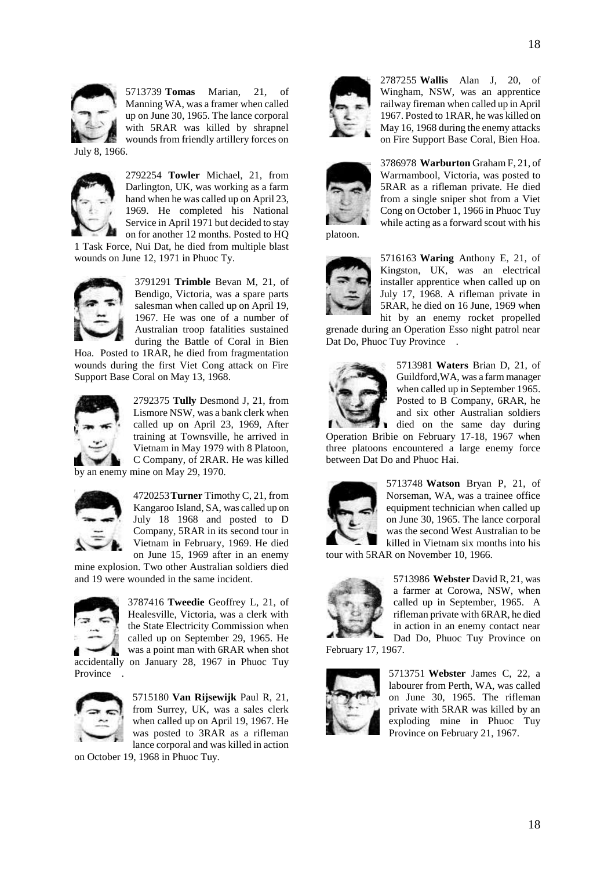

5713739 **Tomas** Marian, 21, of Manning WA, was a framer when called up on June 30, 1965. The lance corporal with 5RAR was killed by shrapnel wounds from friendly artillery forces on

July 8, 1966.



2792254 **Towler** Michael, 21, from Darlington, UK, was working as a farm hand when he was called up on April 23, 1969. He completed his National Service in April 1971 but decided to stay on for another 12 months. Posted to HQ

1 Task Force, Nui Dat, he died from multiple blast wounds on June 12, 1971 in Phuoc Ty.



3791291 **Trimble** Bevan M, 21, of Bendigo, Victoria, was a spare parts salesman when called up on April 19, 1967. He was one of a number of Australian troop fatalities sustained during the Battle of Coral in Bien

Hoa. Posted to 1RAR, he died from fragmentation wounds during the first Viet Cong attack on Fire Support Base Coral on May 13, 1968.



2792375 **Tully** Desmond J, 21, from Lismore NSW, was a bank clerk when called up on April 23, 1969, After training at Townsville, he arrived in Vietnam in May 1979 with 8 Platoon, C Company, of 2RAR. He was killed

by an enemy mine on May 29, 1970.



4720253**Turner** Timothy C, 21, from Kangaroo Island, SA, was called up on July 18 1968 and posted to D Company, 5RAR in its second tour in Vietnam in February, 1969. He died on June 15, 1969 after in an enemy

mine explosion. Two other Australian soldiers died and 19 were wounded in the same incident.



3787416 **Tweedie** Geoffrey L, 21, of Healesville, Victoria, was a clerk with the State Electricity Commission when called up on September 29, 1965. He was a point man with 6RAR when shot accidentally on January 28, 1967 in Phuoc Tuy



5715180 **Van Rijsewijk** Paul R, 21, from Surrey, UK, was a sales clerk when called up on April 19, 1967. He was posted to 3RAR as a rifleman lance corporal and was killed in action

on October 19, 1968 in Phuoc Tuy.



2787255 **Wallis** Alan J, 20, of Wingham, NSW, was an apprentice railway fireman when called up in April 1967. Posted to 1RAR, he was killed on May 16, 1968 during the enemy attacks on Fire Support Base Coral, Bien Hoa.



3786978 **Warburton** Graham F, 21, of Warrnambool, Victoria, was posted to 5RAR as a rifleman private. He died from a single sniper shot from a Viet Cong on October 1, 1966 in Phuoc Tuy while acting as a forward scout with his



5716163 **Waring** Anthony E, 21, of Kingston, UK, was an electrical installer apprentice when called up on July 17, 1968. A rifleman private in 5RAR, he died on 16 June, 1969 when hit by an enemy rocket propelled

grenade during an Operation Esso night patrol near Dat Do, Phuoc Tuy Province.



5713981 **Waters** Brian D, 21, of Guildford,WA, was a farm manager when called up in September 1965. Posted to B Company, 6RAR, he and six other Australian soldiers died on the same day during

Operation Bribie on February 17-18, 1967 when three platoons encountered a large enemy force between Dat Do and Phuoc Hai.



5713748 **Watson** Bryan P, 21, of Norseman, WA, was a trainee office equipment technician when called up on June 30, 1965. The lance corporal was the second West Australian to be killed in Vietnam six months into his

tour with 5RAR on November 10, 1966.



5713986 **Webster** David R, 21, was a farmer at Corowa, NSW, when called up in September, 1965. A rifleman private with 6RAR, he died in action in an enemy contact near Dad Do, Phuoc Tuy Province on

February 17, 1967.



5713751 **Webster** James C, 22, a labourer from Perth, WA, was called on June 30, 1965. The rifleman private with 5RAR was killed by an exploding mine in Phuoc Tuy Province on February 21, 1967.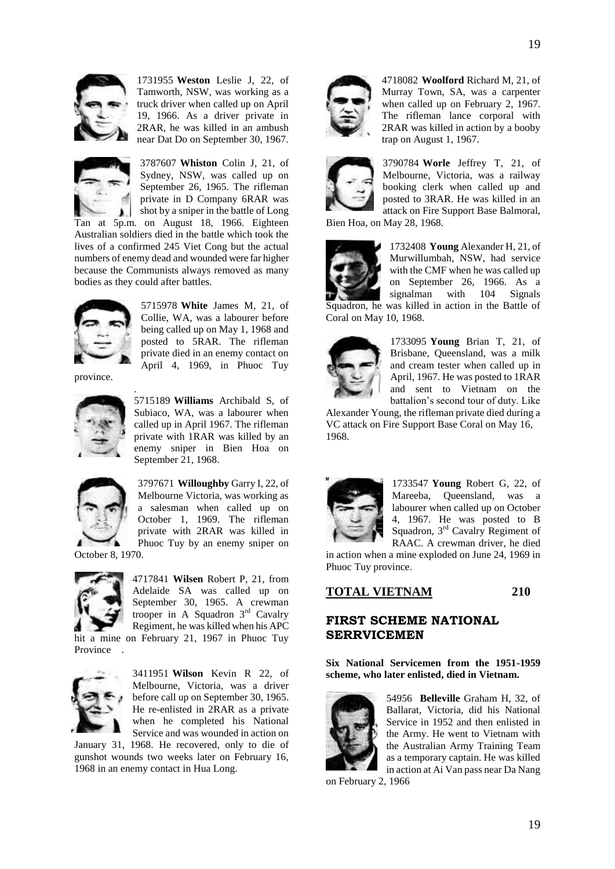

1731955 **Weston** Leslie J, 22, of Tamworth, NSW, was working as a truck driver when called up on April 19, 1966. As a driver private in 2RAR, he was killed in an ambush near Dat Do on September 30, 1967.



3787607 **Whiston** Colin J, 21, of Sydney, NSW, was called up on September 26, 1965. The rifleman private in D Company 6RAR was shot by a sniper in the battle of Long Tan at 5p.m. on August 18, 1966. Eighteen

Australian soldiers died in the battle which took the lives of a confirmed 245 Viet Cong but the actual numbers of enemy dead and wounded were far higher because the Communists always removed as many bodies as they could after battles.



5715978 **White** James M, 21, of Collie, WA, was a labourer before being called up on May 1, 1968 and posted to 5RAR. The rifleman private died in an enemy contact on April 4, 1969, in Phuoc Tuy

province.



.

5715189 **Williams** Archibald S, of Subiaco, WA, was a labourer when called up in April 1967. The rifleman private with 1RAR was killed by an enemy sniper in Bien Hoa on September 21, 1968.



3797671 **Willoughby** Garry I, 22, of Melbourne Victoria, was working as a salesman when called up on October 1, 1969. The rifleman private with 2RAR was killed in Phuoc Tuy by an enemy sniper on

October 8, 1970.



4717841 **Wilsen** Robert P, 21, from Adelaide SA was called up on September 30, 1965. A crewman trooper in A Squadron 3rd Cavalry Regiment, he was killed when his APC hit a mine on February 21, 1967 in Phuoc Tuy

Province .



3411951 **Wilson** Kevin R 22, of Melbourne, Victoria, was a driver before call up on September 30, 1965. He re-enlisted in 2RAR as a private when he completed his National Service and was wounded in action on

January 31, 1968. He recovered, only to die of gunshot wounds two weeks later on February 16, 1968 in an enemy contact in Hua Long.



4718082 **Woolford** Richard M, 21, of Murray Town, SA, was a carpenter when called up on February 2, 1967. The rifleman lance corporal with 2RAR was killed in action by a booby trap on August 1, 1967.



3790784 **Worle** Jeffrey T, 21, of Melbourne, Victoria, was a railway booking clerk when called up and posted to 3RAR. He was killed in an attack on Fire Support Base Balmoral,

Bien Hoa, on May 28, 1968.



1732408 **Young** Alexander H, 21, of Murwillumbah, NSW, had service with the CMF when he was called up on September 26, 1966. As a signalman with 104 Signals Squadron, he was killed in action in the Battle of Coral on May 10, 1968.



1733095 **Young** Brian T, 21, of Brisbane, Queensland, was a milk and cream tester when called up in April, 1967. He was posted to 1RAR and sent to Vietnam on the battalion"s second tour of duty. Like

Alexander Young, the rifleman private died during a VC attack on Fire Support Base Coral on May 16, 1968.



1733547 **Young** Robert G, 22, of Mareeba, Queensland, was a labourer when called up on October 4, 1967. He was posted to B Squadron, 3rd Cavalry Regiment of RAAC. A crewman driver, he died

in action when a mine exploded on June 24, 1969 in Phuoc Tuy province.

**TOTAL VIETNAM 210**

# **FIRST SCHEME NATIONAL SERRVICEMEN**

**Six National Servicemen from the 1951-1959 scheme, who later enlisted, died in Vietnam.** 



54956 **Belleville** Graham H, 32, of Ballarat, Victoria, did his National Service in 1952 and then enlisted in the Army. He went to Vietnam with the Australian Army Training Team as a temporary captain. He was killed in action at Ai Van pass near Da Nang

on February 2, 1966